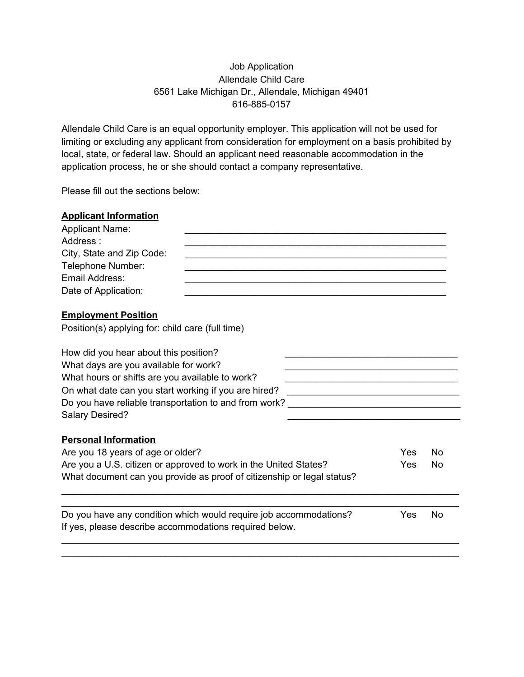# Job Application Allendale Child Care 6561 Lake Michigan Dr., Allendale, Michigan 49401 616-885-0157

Allendale Child Care is an equal opportunity employer. This application will not be used for limiting or excluding any applicant from consideration for employment on a basis prohibited by local, state, or federal law. Should an applicant need reasonable accommodation in the application process, he or she should contact a company representative.

Please fill out the sections below:

| <b>Applicant Information</b>                                                                                                |  |     |           |  |  |
|-----------------------------------------------------------------------------------------------------------------------------|--|-----|-----------|--|--|
| <b>Applicant Name:</b>                                                                                                      |  |     |           |  |  |
| Address:                                                                                                                    |  |     |           |  |  |
| City, State and Zip Code:                                                                                                   |  |     |           |  |  |
| Telephone Number:                                                                                                           |  |     |           |  |  |
| Email Address:                                                                                                              |  |     |           |  |  |
| Date of Application:                                                                                                        |  |     |           |  |  |
| <b>Employment Position</b>                                                                                                  |  |     |           |  |  |
| Position(s) applying for: child care (full time)<br>How did you hear about this position?                                   |  |     |           |  |  |
|                                                                                                                             |  |     |           |  |  |
|                                                                                                                             |  |     |           |  |  |
| On what date can you start working if you are hired?                                                                        |  |     |           |  |  |
| Do you have reliable transportation to and from work?                                                                       |  |     |           |  |  |
| <b>Salary Desired?</b>                                                                                                      |  |     |           |  |  |
| <b>Personal Information</b>                                                                                                 |  |     |           |  |  |
| Are you 18 years of age or older?                                                                                           |  |     | <b>No</b> |  |  |
| Are you a U.S. citizen or approved to work in the United States?                                                            |  |     | No        |  |  |
| Yes<br>What document can you provide as proof of citizenship or legal status?                                               |  |     |           |  |  |
|                                                                                                                             |  | Yes | <b>No</b> |  |  |
| Do you have any condition which would require job accommodations?<br>If yes, please describe accommodations required below. |  |     |           |  |  |
|                                                                                                                             |  |     |           |  |  |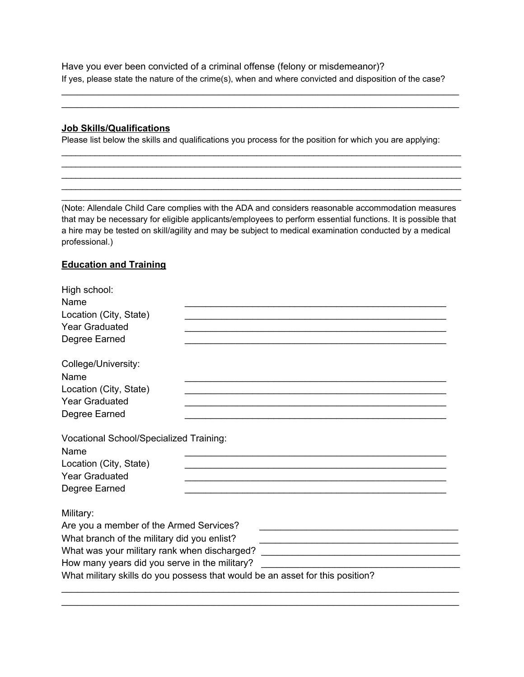Have you ever been convicted of a criminal offense (felony or misdemeanor)? If yes, please state the nature of the crime(s), when and where convicted and disposition of the case?

\_\_\_\_\_\_\_\_\_\_\_\_\_\_\_\_\_\_\_\_\_\_\_\_\_\_\_\_\_\_\_\_\_\_\_\_\_\_\_\_\_\_\_\_\_\_\_\_\_\_\_\_\_\_\_\_\_\_\_\_\_\_\_\_\_\_\_\_\_\_\_\_\_\_\_\_ \_\_\_\_\_\_\_\_\_\_\_\_\_\_\_\_\_\_\_\_\_\_\_\_\_\_\_\_\_\_\_\_\_\_\_\_\_\_\_\_\_\_\_\_\_\_\_\_\_\_\_\_\_\_\_\_\_\_\_\_\_\_\_\_\_\_\_\_\_\_\_\_\_\_\_\_

### **Job Skills/Qualifications**

Please list below the skills and qualifications you process for the position for which you are applying:

 $\_$  ,  $\_$  ,  $\_$  ,  $\_$  ,  $\_$  ,  $\_$  ,  $\_$  ,  $\_$  ,  $\_$  ,  $\_$  ,  $\_$  ,  $\_$  ,  $\_$  ,  $\_$  ,  $\_$  ,  $\_$  ,  $\_$  ,  $\_$  ,  $\_$  ,  $\_$  ,  $\_$  ,  $\_$  ,  $\_$  ,  $\_$  ,  $\_$  ,  $\_$  ,  $\_$  ,  $\_$  ,  $\_$  ,  $\_$  ,  $\_$  ,  $\_$  ,  $\_$  ,  $\_$  ,  $\_$  ,  $\_$  ,  $\_$  ,  $\_$  ,  $\_$  ,  $\_$  ,  $\_$  ,  $\_$  ,  $\_$  ,  $\_$  ,  $\_$  ,  $\_$  ,  $\_$  ,  $\_$  ,  $\_$  ,  $\_$  ,  $\_$  ,  $\_$  ,  $\_$  ,  $\_$  ,  $\_$  ,  $\_$  ,  $\_$  ,  $\_$  ,  $\_$  ,  $\_$  ,  $\_$  ,  $\_$  ,  $\_$  ,  $\_$  ,  $\_$  ,  $\_$  ,  $\_$  ,  $\_$  ,  $\_$  ,  $\_$  ,  $\_$  ,  $\_$  ,  $\_$  ,  $\_$  ,  $\_$  ,  $\_$  ,  $\_$  ,  $\_$  ,  $\_$  ,  $\_$  ,  $\_$  ,  $\_$  ,  $\_$  ,  $\_$  ,  $\_$  ,  $\_$  ,  $\_$  ,  $\_$  ,  $\_$  ,  $\_$  ,  $\_$  ,  $\_$  ,  $\_$  ,  $\_$  ,  $\_$  ,  $\_$  ,  $\_$  ,  $\_$  ,  $\_$  ,  $\_$  ,  $\_$  ,  $\_$  ,  $\_$  ,  $\_$  ,  $\_$  ,  $\_$  ,  $\_$  ,  $\_$  ,  $\_$  ,  $\_$  ,  $\_$  ,  $\_$  ,  $\_$  ,  $\_$  ,  $\_$  ,  $\_$  ,  $\_$  ,  $\_$  ,  $\_$  ,  $\_$  ,  $\_$  ,  $\_$  ,  $\_$  ,  $\_$  ,  $\_$  ,  $\_$  ,  $\_$  ,  $\_$  ,  $\_$  ,  $\_$  ,  $\_$  ,  $\_$  ,  $\_$  ,  $\_$  ,  $\_$  ,  $\_$  ,  $\_$  ,  $\_$  ,  $\_$  ,  $\_$  ,  $\_$  ,  $\_$  ,  $\_$  ,  $\_$  ,  $\_$  ,  $\_$  ,  $\_$  ,  $\_$  ,  $\_$  ,  $\_$  ,  $\_$  ,  $\_$  ,  $\_$  ,  $\_$  ,  $\_$  ,  $\_$  ,  $\_$  ,  $\_$  ,  $\_$  ,  $\_$  ,  $\_$  ,  $\_$  ,  $\_$  ,  $\_$  ,  $\_$  ,  $\_$  ,  $\_$  ,  $\_$  ,  $\_$  ,  $\_$  ,  $\_$  ,  $\_$  ,  $\_$  ,  $\_$  ,  $\_$  ,  $\_$  ,  $\_$  ,  $\_$  ,  $\_$  ,  $\_$  ,  $\_$  ,  $\_$  ,  $\_$  ,  $\_$  ,  $\_$  ,

(Note: Allendale Child Care complies with the ADA and considers reasonable accommodation measures that may be necessary for eligible applicants/employees to perform essential functions. It is possible that a hire may be tested on skill/agility and may be subject to medical examination conducted by a medical professional.)

### **Education and Training**

| High school:<br>Name<br>Location (City, State)                                                                             |  |  |  |
|----------------------------------------------------------------------------------------------------------------------------|--|--|--|
| <b>Year Graduated</b>                                                                                                      |  |  |  |
| Degree Earned                                                                                                              |  |  |  |
| College/University:<br>Name                                                                                                |  |  |  |
| Location (City, State)                                                                                                     |  |  |  |
| <b>Year Graduated</b>                                                                                                      |  |  |  |
| Degree Earned                                                                                                              |  |  |  |
| <b>Vocational School/Specialized Training:</b><br>Name<br>Location (City, State)<br><b>Year Graduated</b><br>Degree Earned |  |  |  |
| Military:                                                                                                                  |  |  |  |
| Are you a member of the Armed Services?                                                                                    |  |  |  |
| What branch of the military did you enlist?                                                                                |  |  |  |
| What was your military rank when discharged? ___________________________________                                           |  |  |  |
| How many years did you serve in the military?                                                                              |  |  |  |
| What military skills do you possess that would be an asset for this position?                                              |  |  |  |
|                                                                                                                            |  |  |  |

\_\_\_\_\_\_\_\_\_\_\_\_\_\_\_\_\_\_\_\_\_\_\_\_\_\_\_\_\_\_\_\_\_\_\_\_\_\_\_\_\_\_\_\_\_\_\_\_\_\_\_\_\_\_\_\_\_\_\_\_\_\_\_\_\_\_\_\_\_\_\_\_\_\_\_\_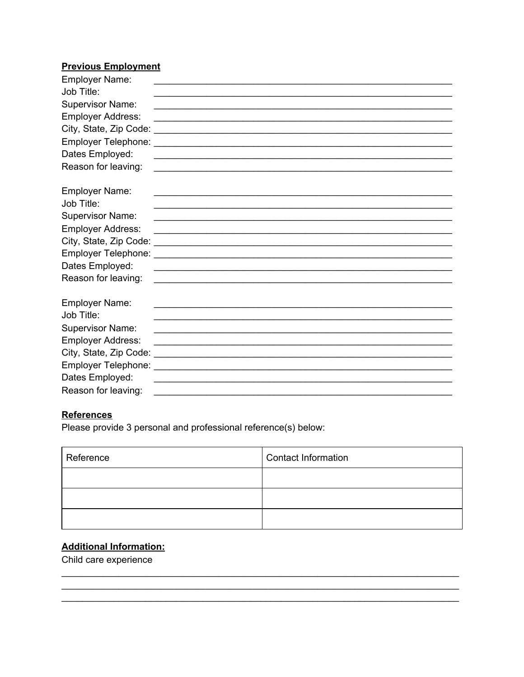## **Previous Employment**

| <b>Employer Name:</b>    |                                                                                                                        |
|--------------------------|------------------------------------------------------------------------------------------------------------------------|
| Job Title:               |                                                                                                                        |
| <b>Supervisor Name:</b>  |                                                                                                                        |
| <b>Employer Address:</b> | <u> 1989 - Johann Harry Harry Harry Harry Harry Harry Harry Harry Harry Harry Harry Harry Harry Harry Harry Harry</u>  |
|                          |                                                                                                                        |
|                          |                                                                                                                        |
| Dates Employed:          |                                                                                                                        |
| Reason for leaving:      |                                                                                                                        |
|                          |                                                                                                                        |
| <b>Employer Name:</b>    |                                                                                                                        |
| Job Title:               |                                                                                                                        |
| <b>Supervisor Name:</b>  |                                                                                                                        |
| <b>Employer Address:</b> | <u> 1989 - Johann Stoff, amerikansk politiker (d. 1989)</u>                                                            |
|                          |                                                                                                                        |
|                          |                                                                                                                        |
| Dates Employed:          | <u> 1989 - Johann Stoff, deutscher Stoffen und der Stoffen und der Stoffen und der Stoffen und der Stoffen und der</u> |
| Reason for leaving:      | <u> 1989 - Johann John Stoff, deutscher Stoffen und der Stoffen und der Stoffen und der Stoffen und der Stoffen u</u>  |
|                          |                                                                                                                        |
| <b>Employer Name:</b>    |                                                                                                                        |
| Job Title:               |                                                                                                                        |
| <b>Supervisor Name:</b>  |                                                                                                                        |
| <b>Employer Address:</b> |                                                                                                                        |
|                          |                                                                                                                        |
|                          |                                                                                                                        |
| Dates Employed:          | <u> 1989 - Johann John Stein, mars et al. 1989 - John Stein, mars et al. 1989 - John Stein Stein Stein Stein Stein</u> |
| Reason for leaving:      |                                                                                                                        |

# **References**

Please provide 3 personal and professional reference(s) below:

| Reference | Contact Information |
|-----------|---------------------|
|           |                     |
|           |                     |
|           |                     |

# **Additional Information:**

Child care experience